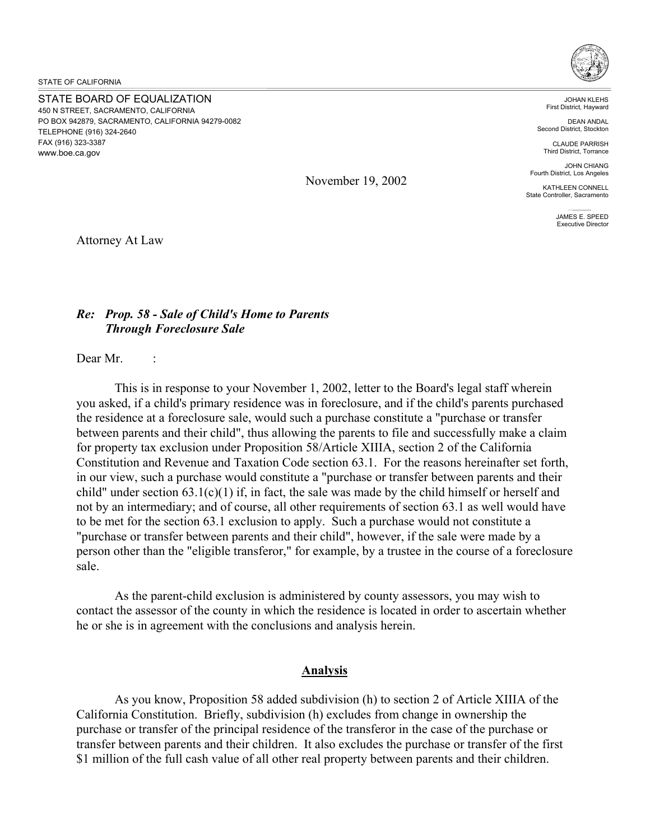STATE OF CALIFORNIA

STATE BOARD OF EQUALIZATION 450 N STREET, SACRAMENTO, CALIFORNIA PO BOX 942879, SACRAMENTO, CALIFORNIA 94279-0082 TELEPHONE (916) 324-2640 FAX (916) 323-3387 <www.boe.ca.gov>



JOHAN KLEHS First District, Hayward

DEAN ANDAL Second District, Stockton

CLAUDE PARRISH Third District, Torrance

JOHN CHIANG Fourth District, Los Angeles

KATHLEEN CONNELL State Controller, Sacramento

> JAMES E. SPEED Executive Director

November 19, 2002

Attorney At Law

## *Re: Prop. 58 - Sale of Child's Home to Parents Through Foreclosure Sale*

Dear Mr

This is in response to your November 1, 2002, letter to the Board's legal staff wherein you asked, if a child's primary residence was in foreclosure, and if the child's parents purchased the residence at a foreclosure sale, would such a purchase constitute a "purchase or transfer between parents and their child", thus allowing the parents to file and successfully make a claim for property tax exclusion under Proposition 58/Article XIIIA, section 2 of the California Constitution and Revenue and Taxation Code section 63.1. For the reasons hereinafter set forth, in our view, such a purchase would constitute a "purchase or transfer between parents and their child" under section  $63.1(c)(1)$  if, in fact, the sale was made by the child himself or herself and not by an intermediary; and of course, all other requirements of section 63.1 as well would have to be met for the section 63.1 exclusion to apply. Such a purchase would not constitute a "purchase or transfer between parents and their child", however, if the sale were made by a person other than the "eligible transferor," for example, by a trustee in the course of a foreclosure sale.

As the parent-child exclusion is administered by county assessors, you may wish to contact the assessor of the county in which the residence is located in order to ascertain whether he or she is in agreement with the conclusions and analysis herein.

## **Analysis**

As you know, Proposition 58 added subdivision (h) to section 2 of Article XIIIA of the California Constitution. Briefly, subdivision (h) excludes from change in ownership the purchase or transfer of the principal residence of the transferor in the case of the purchase or transfer between parents and their children. It also excludes the purchase or transfer of the first \$1 million of the full cash value of all other real property between parents and their children.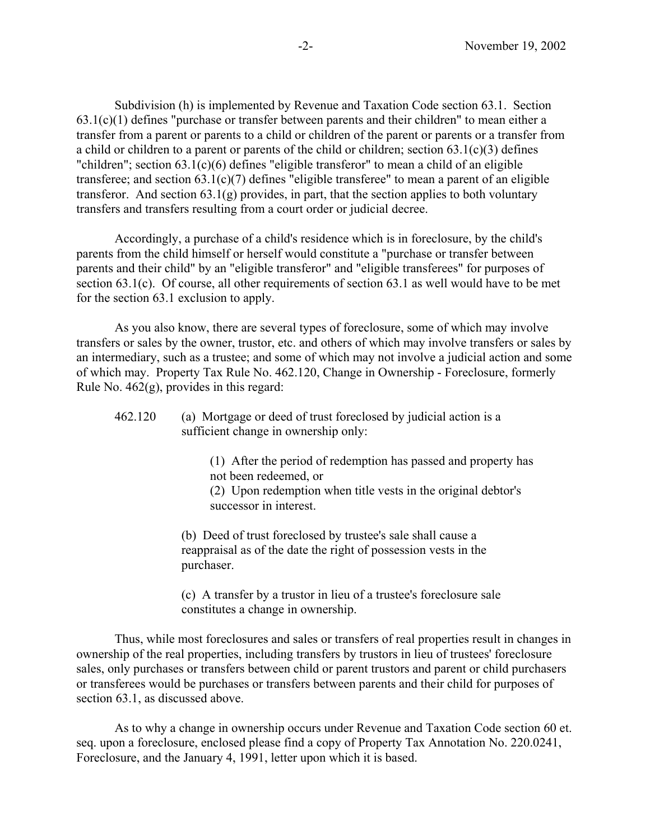Subdivision (h) is implemented by Revenue and Taxation Code section 63.1. Section  $63.1(c)(1)$  defines "purchase or transfer between parents and their children" to mean either a transfer from a parent or parents to a child or children of the parent or parents or a transfer from a child or children to a parent or parents of the child or children; section  $63.1(c)(3)$  defines "children"; section 63.1(c)(6) defines "eligible transferor" to mean a child of an eligible transferee; and section  $63.1(c)(7)$  defines "eligible transferee" to mean a parent of an eligible transferor. And section 63.1(g) provides, in part, that the section applies to both voluntary transfers and transfers resulting from a court order or judicial decree.

Accordingly, a purchase of a child's residence which is in foreclosure, by the child's parents from the child himself or herself would constitute a "purchase or transfer between parents and their child" by an "eligible transferor" and "eligible transferees" for purposes of section  $63.1(c)$ . Of course, all other requirements of section  $63.1$  as well would have to be met for the section 63.1 exclusion to apply.

As you also know, there are several types of foreclosure, some of which may involve transfers or sales by the owner, trustor, etc. and others of which may involve transfers or sales by an intermediary, such as a trustee; and some of which may not involve a judicial action and some of which may. Property Tax Rule No. 462.120, Change in Ownership - Foreclosure, formerly Rule No. 462(g), provides in this regard:

## 462.120 (a) Mortgage or deed of trust foreclosed by judicial action is a sufficient change in ownership only:

(1) After the period of redemption has passed and property has not been redeemed, or

(2) Upon redemption when title vests in the original debtor's successor in interest.

(b) Deed of trust foreclosed by trustee's sale shall cause a reappraisal as of the date the right of possession vests in the purchaser.

(c) A transfer by a trustor in lieu of a trustee's foreclosure sale constitutes a change in ownership.

Thus, while most foreclosures and sales or transfers of real properties result in changes in ownership of the real properties, including transfers by trustors in lieu of trustees' foreclosure sales, only purchases or transfers between child or parent trustors and parent or child purchasers or transferees would be purchases or transfers between parents and their child for purposes of section 63.1, as discussed above.

As to why a change in ownership occurs under Revenue and Taxation Code section 60 et. seq. upon a foreclosure, enclosed please find a copy of Property Tax Annotation No. 220.0241, Foreclosure, and the January 4, 1991, letter upon which it is based.